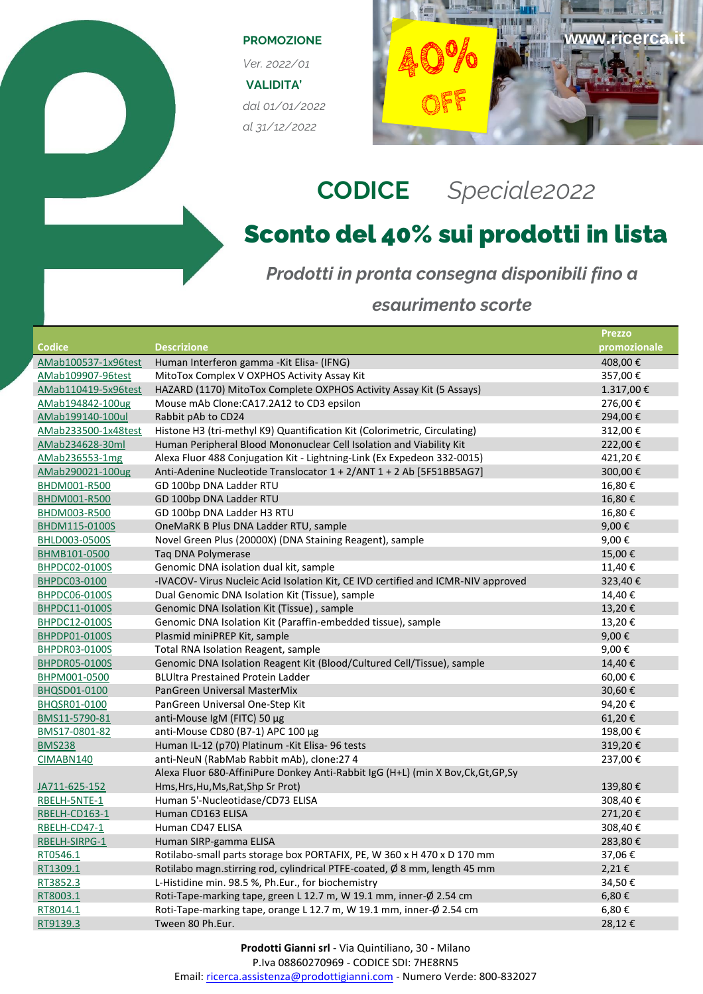## **PROMOZIONE**

*Ver. 2022/01* **VALIDITA'** *dal 01/01/2022 al 31/12/2022*



## **CODICE** *Speciale2022*

## Sconto del 40% sui prodotti in lista

*Prodotti in pronta consegna disponibili fino a* 

## *esaurimento scorte*

|                      |                                                                                    | <b>Prezzo</b> |
|----------------------|------------------------------------------------------------------------------------|---------------|
| <b>Codice</b>        | <b>Descrizione</b>                                                                 | promozionale  |
| AMab100537-1x96test  | Human Interferon gamma - Kit Elisa- (IFNG)                                         | 408,00€       |
| AMab109907-96test    | MitoTox Complex V OXPHOS Activity Assay Kit                                        | 357,00€       |
| AMab110419-5x96test  | HAZARD (1170) MitoTox Complete OXPHOS Activity Assay Kit (5 Assays)                | 1.317,00€     |
| AMab194842-100ug     | Mouse mAb Clone: CA17.2A12 to CD3 epsilon                                          | 276,00€       |
| AMab199140-100ul     | Rabbit pAb to CD24                                                                 | 294,00€       |
| AMab233500-1x48test  | Histone H3 (tri-methyl K9) Quantification Kit (Colorimetric, Circulating)          | 312,00€       |
| AMab234628-30ml      | Human Peripheral Blood Mononuclear Cell Isolation and Viability Kit                | 222,00€       |
| AMab236553-1mg       | Alexa Fluor 488 Conjugation Kit - Lightning-Link (Ex Expedeon 332-0015)            | 421,20€       |
| AMab290021-100ug     | Anti-Adenine Nucleotide Translocator 1 + 2/ANT 1 + 2 Ab [5F51BB5AG7]               | 300,00€       |
| BHDM001-R500         | GD 100bp DNA Ladder RTU                                                            | 16,80€        |
| BHDM001-R500         | GD 100bp DNA Ladder RTU                                                            | 16,80€        |
| BHDM003-R500         | GD 100bp DNA Ladder H3 RTU                                                         | 16,80€        |
| BHDM115-0100S        | OneMaRK B Plus DNA Ladder RTU, sample                                              | 9,00€         |
| BHLD003-0500S        | Novel Green Plus (20000X) (DNA Staining Reagent), sample                           | 9,00€         |
| BHMB101-0500         | Tag DNA Polymerase                                                                 | 15,00€        |
| BHPDC02-0100S        | Genomic DNA isolation dual kit, sample                                             | 11,40€        |
| BHPDC03-0100         | -IVACOV- Virus Nucleic Acid Isolation Kit, CE IVD certified and ICMR-NIV approved  | 323,40€       |
| BHPDC06-0100S        | Dual Genomic DNA Isolation Kit (Tissue), sample                                    | 14,40€        |
| BHPDC11-0100S        | Genomic DNA Isolation Kit (Tissue), sample                                         | 13,20€        |
| BHPDC12-0100S        | Genomic DNA Isolation Kit (Paraffin-embedded tissue), sample                       | 13,20€        |
| BHPDP01-0100S        | Plasmid miniPREP Kit, sample                                                       | 9,00€         |
| BHPDR03-0100S        | Total RNA Isolation Reagent, sample                                                | 9,00€         |
| <b>BHPDR05-0100S</b> | Genomic DNA Isolation Reagent Kit (Blood/Cultured Cell/Tissue), sample             | 14,40€        |
| BHPM001-0500         | <b>BLUItra Prestained Protein Ladder</b>                                           | 60,00€        |
| BHQSD01-0100         | PanGreen Universal MasterMix                                                       | 30,60€        |
| BHQSR01-0100         | PanGreen Universal One-Step Kit                                                    | 94,20€        |
| BMS11-5790-81        | anti-Mouse IgM (FITC) 50 µg                                                        | 61,20€        |
| BMS17-0801-82        | anti-Mouse CD80 (B7-1) APC 100 µg                                                  | 198,00€       |
| <b>BMS238</b>        | Human IL-12 (p70) Platinum -Kit Elisa- 96 tests                                    | 319,20€       |
| CIMABN140            | anti-NeuN (RabMab Rabbit mAb), clone:27 4                                          | 237,00€       |
|                      | Alexa Fluor 680-AffiniPure Donkey Anti-Rabbit IgG (H+L) (min X Bov, Ck, Gt, GP, Sy |               |
| JA711-625-152        | Hms, Hrs, Hu, Ms, Rat, Shp Sr Prot)                                                | 139,80€       |
| RBELH-5NTE-1         | Human 5'-Nucleotidase/CD73 ELISA                                                   | 308,40€       |
| RBELH-CD163-1        | Human CD163 ELISA                                                                  | 271,20€       |
| RBELH-CD47-1         | Human CD47 ELISA                                                                   | 308,40€       |
| RBELH-SIRPG-1        | Human SIRP-gamma ELISA                                                             | 283,80€       |
| RT0546.1             | Rotilabo-small parts storage box PORTAFIX, PE, W 360 x H 470 x D 170 mm            | 37,06€        |
| RT1309.1             | Rotilabo magn.stirring rod, cylindrical PTFE-coated, Ø 8 mm, length 45 mm          | 2,21€         |
| RT3852.3             | L-Histidine min. 98.5 %, Ph.Eur., for biochemistry                                 | 34,50€        |
| RT8003.1             | Roti-Tape-marking tape, green L 12.7 m, W 19.1 mm, inner-Ø 2.54 cm                 | 6,80€         |
| RT8014.1             | Roti-Tape-marking tape, orange L 12.7 m, W 19.1 mm, inner-Ø 2.54 cm                | 6,80€         |
| RT9139.3             | Tween 80 Ph.Eur.                                                                   | 28,12€        |

**Prodotti Gianni srl** - Via Quintiliano, 30 - Milano

P.Iva 08860270969 - CODICE SDI: 7HE8RN5

Email: [ricerca.assistenza@prodottigianni.com](mailto:ricerca.assistenza@prodottigianni.com) - Numero Verde: 800-832027